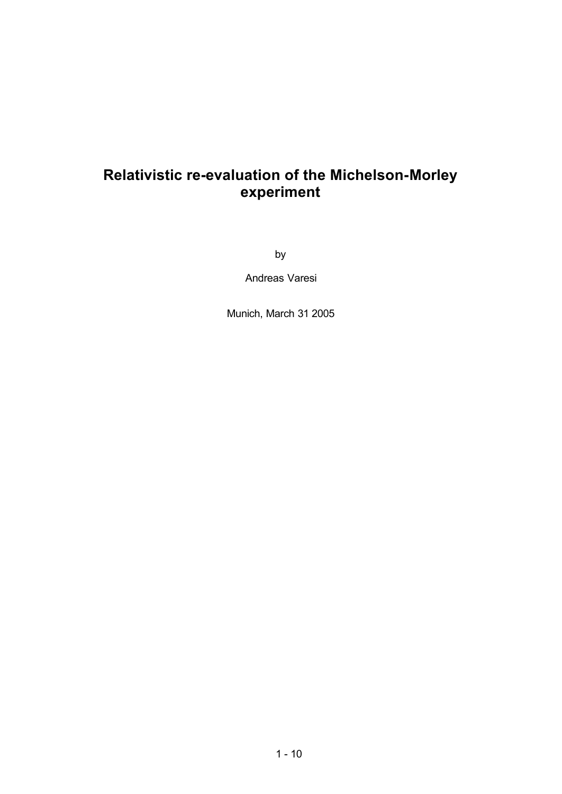## **Relativistic re-evaluation of the Michelson-Morley experiment**

by

Andreas Varesi

Munich, March 31 2005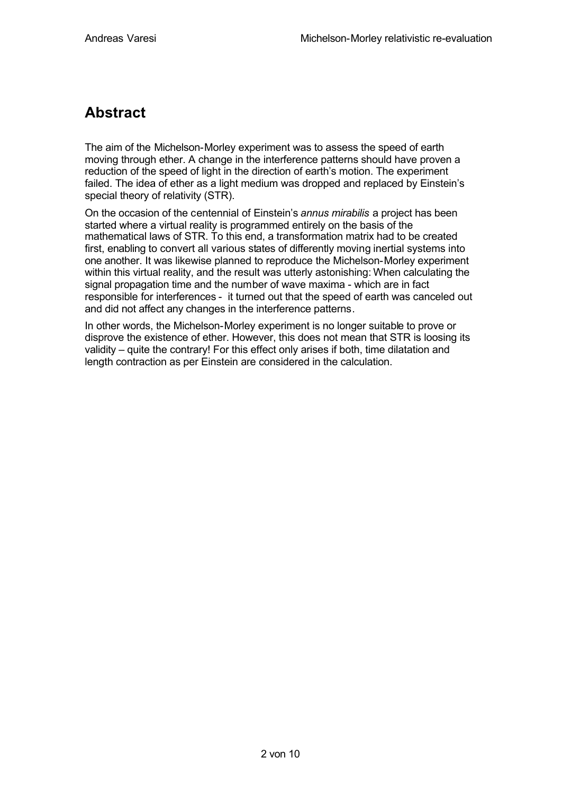### **Abstract**

The aim of the Michelson-Morley experiment was to assess the speed of earth moving through ether. A change in the interference patterns should have proven a reduction of the speed of light in the direction of earth's motion. The experiment failed. The idea of ether as a light medium was dropped and replaced by Einstein's special theory of relativity (STR).

On the occasion of the centennial of Einstein's *annus mirabilis* a project has been started where a virtual reality is programmed entirely on the basis of the mathematical laws of STR. To this end, a transformation matrix had to be created first, enabling to convert all various states of differently moving inertial systems into one another. It was likewise planned to reproduce the Michelson-Morley experiment within this virtual reality, and the result was utterly astonishing: When calculating the signal propagation time and the number of wave maxima - which are in fact responsible for interferences - it turned out that the speed of earth was canceled out and did not affect any changes in the interference patterns.

In other words, the Michelson-Morley experiment is no longer suitable to prove or disprove the existence of ether. However, this does not mean that STR is loosing its validity – quite the contrary! For this effect only arises if both, time dilatation and length contraction as per Einstein are considered in the calculation.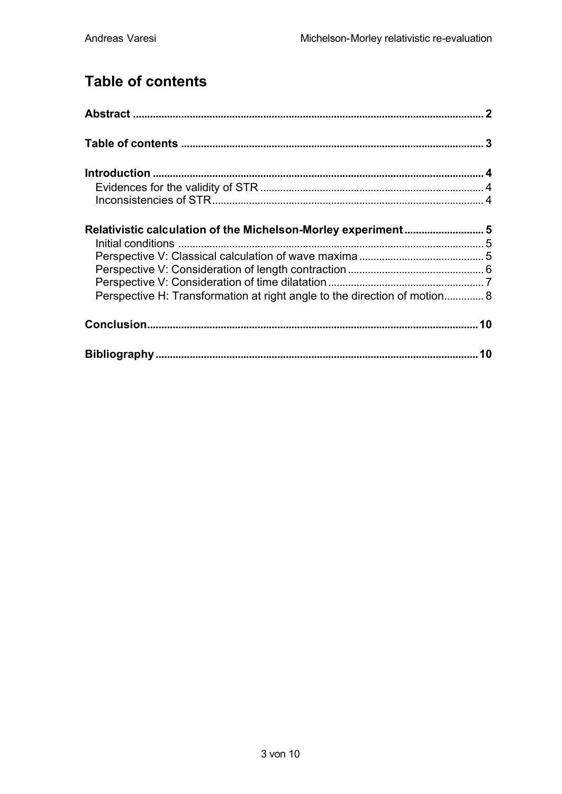# **Table of contents**

| Relativistic calculation of the Michelson-Morley experiment 5             |  |
|---------------------------------------------------------------------------|--|
|                                                                           |  |
|                                                                           |  |
|                                                                           |  |
|                                                                           |  |
| Perspective H: Transformation at right angle to the direction of motion 8 |  |
|                                                                           |  |
|                                                                           |  |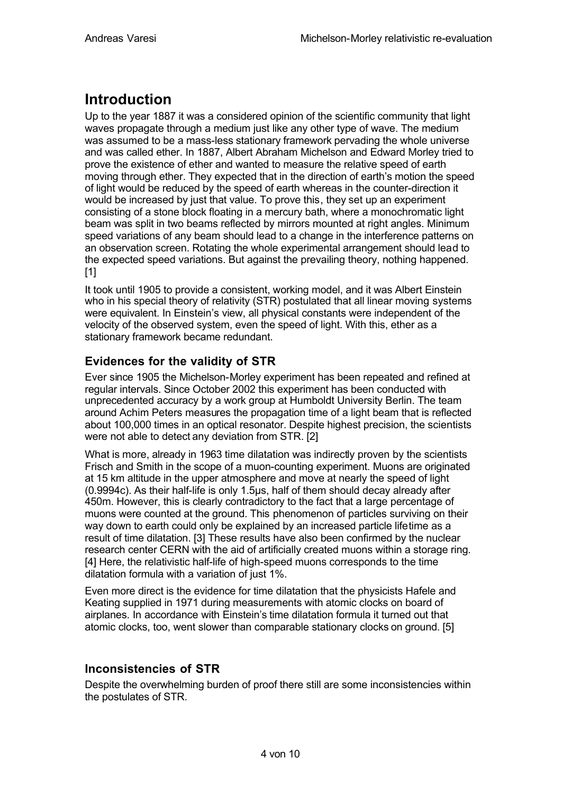### **Introduction**

Up to the year 1887 it was a considered opinion of the scientific community that light waves propagate through a medium just like any other type of wave. The medium was assumed to be a mass-less stationary framework pervading the whole universe and was called ether. In 1887, Albert Abraham Michelson and Edward Morley tried to prove the existence of ether and wanted to measure the relative speed of earth moving through ether. They expected that in the direction of earth's motion the speed of light would be reduced by the speed of earth whereas in the counter-direction it would be increased by just that value. To prove this, they set up an experiment consisting of a stone block floating in a mercury bath, where a monochromatic light beam was split in two beams reflected by mirrors mounted at right angles. Minimum speed variations of any beam should lead to a change in the interference patterns on an observation screen. Rotating the whole experimental arrangement should lead to the expected speed variations. But against the prevailing theory, nothing happened. [1]

It took until 1905 to provide a consistent, working model, and it was Albert Einstein who in his special theory of relativity (STR) postulated that all linear moving systems were equivalent. In Einstein's view, all physical constants were independent of the velocity of the observed system, even the speed of light. With this, ether as a stationary framework became redundant.

### **Evidences for the validity of STR**

Ever since 1905 the Michelson-Morley experiment has been repeated and refined at regular intervals. Since October 2002 this experiment has been conducted with unprecedented accuracy by a work group at Humboldt University Berlin. The team around Achim Peters measures the propagation time of a light beam that is reflected about 100,000 times in an optical resonator. Despite highest precision, the scientists were not able to detect any deviation from STR. [2]

What is more, already in 1963 time dilatation was indirectly proven by the scientists Frisch and Smith in the scope of a muon-counting experiment. Muons are originated at 15 km altitude in the upper atmosphere and move at nearly the speed of light (0.9994c). As their half-life is only 1.5µs, half of them should decay already after 450m. However, this is clearly contradictory to the fact that a large percentage of muons were counted at the ground. This phenomenon of particles surviving on their way down to earth could only be explained by an increased particle lifetime as a result of time dilatation. [3] These results have also been confirmed by the nuclear research center CERN with the aid of artificially created muons within a storage ring. [4] Here, the relativistic half-life of high-speed muons corresponds to the time dilatation formula with a variation of just 1%.

Even more direct is the evidence for time dilatation that the physicists Hafele and Keating supplied in 1971 during measurements with atomic clocks on board of airplanes. In accordance with Einstein's time dilatation formula it turned out that atomic clocks, too, went slower than comparable stationary clocks on ground. [5]

### **Inconsistencies of STR**

Despite the overwhelming burden of proof there still are some inconsistencies within the postulates of STR.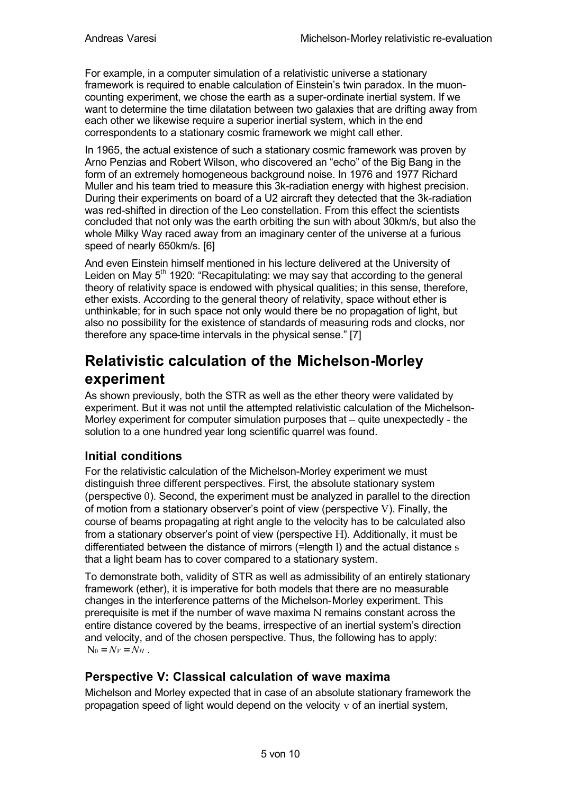For example, in a computer simulation of a relativistic universe a stationary framework is required to enable calculation of Einstein's twin paradox. In the muoncounting experiment, we chose the earth as a super-ordinate inertial system. If we want to determine the time dilatation between two galaxies that are drifting away from each other we likewise require a superior inertial system, which in the end correspondents to a stationary cosmic framework we might call ether.

In 1965, the actual existence of such a stationary cosmic framework was proven by Arno Penzias and Robert Wilson, who discovered an "echo" of the Big Bang in the form of an extremely homogeneous background noise. In 1976 and 1977 Richard Muller and his team tried to measure this 3k-radiation energy with highest precision. During their experiments on board of a U2 aircraft they detected that the 3k-radiation was red-shifted in direction of the Leo constellation. From this effect the scientists concluded that not only was the earth orbiting the sun with about 30km/s, but also the whole Milky Way raced away from an imaginary center of the universe at a furious speed of nearly 650km/s. [6]

And even Einstein himself mentioned in his lecture delivered at the University of Leiden on May  $5<sup>th</sup>$  1920: "Recapitulating: we may say that according to the general theory of relativity space is endowed with physical qualities; in this sense, therefore, ether exists. According to the general theory of relativity, space without ether is unthinkable; for in such space not only would there be no propagation of light, but also no possibility for the existence of standards of measuring rods and clocks, nor therefore any space-time intervals in the physical sense." [7]

### **Relativistic calculation of the Michelson-Morley experiment**

As shown previously, both the STR as well as the ether theory were validated by experiment. But it was not until the attempted relativistic calculation of the Michelson-Morley experiment for computer simulation purposes that – quite unexpectedly - the solution to a one hundred year long scientific quarrel was found.

### **Initial conditions**

For the relativistic calculation of the Michelson-Morley experiment we must distinguish three different perspectives. First, the absolute stationary system (perspective 0). Second, the experiment must be analyzed in parallel to the direction of motion from a stationary observer's point of view (perspective V). Finally, the course of beams propagating at right angle to the velocity has to be calculated also from a stationary observer's point of view (perspective H). Additionally, it must be differentiated between the distance of mirrors (=length l) and the actual distance s that a light beam has to cover compared to a stationary system.

To demonstrate both, validity of STR as well as admissibility of an entirely stationary framework (ether), it is imperative for both models that there are no measurable changes in the interference patterns of the Michelson-Morley experiment. This prerequisite is met if the number of wave maxima N remains constant across the entire distance covered by the beams, irrespective of an inertial system's direction and velocity, and of the chosen perspective. Thus, the following has to apply:  $N_0 = N_V = N_H$ .

### **Perspective V: Classical calculation of wave maxima**

Michelson and Morley expected that in case of an absolute stationary framework the propagation speed of light would depend on the velocity  $v$  of an inertial system,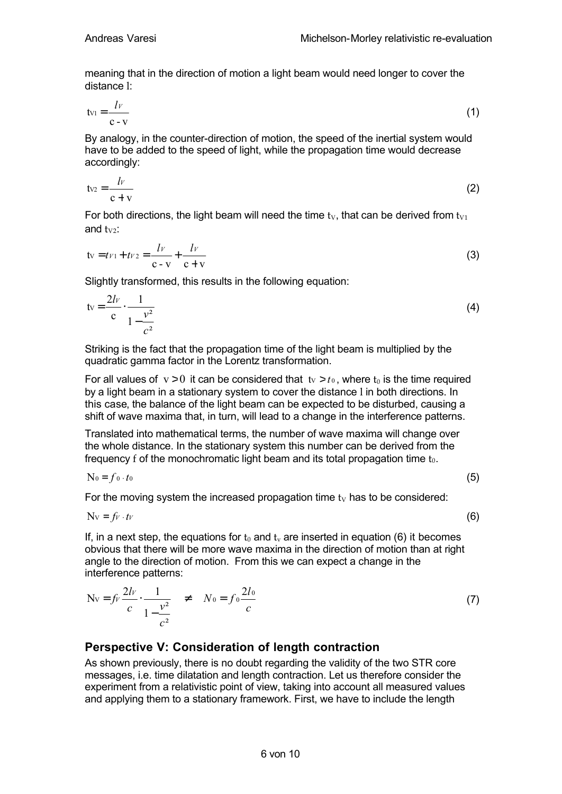meaning that in the direction of motion a light beam would need longer to cover the distance l:

$$
tv_1 = \frac{lv}{c - v} \tag{1}
$$

By analogy, in the counter-direction of motion, the speed of the inertial system would have to be added to the speed of light, while the propagation time would decrease accordingly:

$$
tv_2 = \frac{lv}{c + v} \tag{2}
$$

For both directions, the light beam will need the time  $t<sub>V</sub>$ , that can be derived from  $t<sub>V1</sub>$ and  $tw<sub>2</sub>$ :

$$
tv = tv_1 + tv_2 = \frac{lv}{c - v} + \frac{lv}{c + v}
$$
 (3)

Slightly transformed, this results in the following equation:

$$
tv = \frac{2lv}{c} \cdot \frac{1}{1 - \frac{v^2}{c^2}}
$$
 (4)

Striking is the fact that the propagation time of the light beam is multiplied by the quadratic gamma factor in the Lorentz transformation.

For all values of  $v > 0$  it can be considered that  $tv > t_0$ , where  $t_0$  is the time required by a light beam in a stationary system to cover the distance l in both directions. In this case, the balance of the light beam can be expected to be disturbed, causing a shift of wave maxima that, in turn, will lead to a change in the interference patterns.

Translated into mathematical terms, the number of wave maxima will change over the whole distance. In the stationary system this number can be derived from the frequency f of the monochromatic light beam and its total propagation time  $t_0$ .

$$
N_0 = f_0 \cdot t_0 \tag{5}
$$

For the moving system the increased propagation time  $t<sub>V</sub>$  has to be considered:

$$
Nv = fv \cdot tv \tag{6}
$$

If, in a next step, the equations for  $t_0$  and  $t_v$  are inserted in equation (6) it becomes obvious that there will be more wave maxima in the direction of motion than at right angle to the direction of motion. From this we can expect a change in the interference patterns:

$$
Nv = f\nu \frac{2l\nu}{c} \cdot \frac{1}{1 - \frac{v^2}{c^2}} \neq N_0 = f_0 \frac{2l_0}{c}
$$
 (7)

#### **Perspective V: Consideration of length contraction**

As shown previously, there is no doubt regarding the validity of the two STR core messages, i.e. time dilatation and length contraction. Let us therefore consider the experiment from a relativistic point of view, taking into account all measured values and applying them to a stationary framework. First, we have to include the length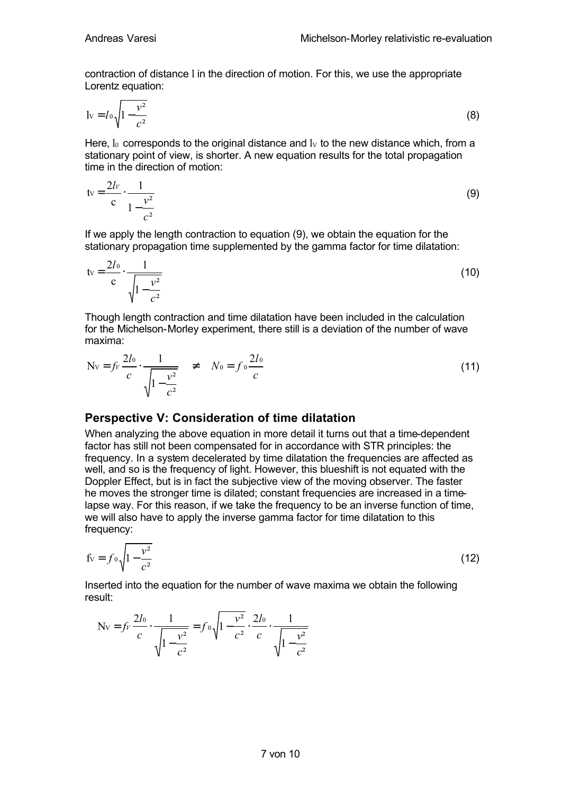contraction of distance l in the direction of motion. For this, we use the appropriate Lorentz equation:

$$
1v = I_0 \sqrt{1 - \frac{v^2}{c^2}}
$$
 (8)

Here,  $I_0$  corresponds to the original distance and  $I_V$  to the new distance which, from a stationary point of view, is shorter. A new equation results for the total propagation time in the direction of motion:

$$
tv = \frac{2lv}{c} \cdot \frac{1}{1 - \frac{v^2}{c^2}}
$$
 (9)

If we apply the length contraction to equation (9), we obtain the equation for the stationary propagation time supplemented by the gamma factor for time dilatation:

$$
tv = \frac{2l_0}{c} \cdot \frac{1}{\sqrt{1 - \frac{v^2}{c^2}}}
$$
(10)

Though length contraction and time dilatation have been included in the calculation for the Michelson-Morley experiment, there still is a deviation of the number of wave maxima:

$$
Nv = f_v \frac{2I_0}{c} \frac{1}{\sqrt{1 - \frac{v^2}{c^2}}} \neq N_0 = f_0 \frac{2I_0}{c}
$$
 (11)

#### **Perspective V: Consideration of time dilatation**

When analyzing the above equation in more detail it turns out that a time-dependent factor has still not been compensated for in accordance with STR principles: the frequency. In a system decelerated by time dilatation the frequencies are affected as well, and so is the frequency of light. However, this blueshift is not equated with the Doppler Effect, but is in fact the subjective view of the moving observer. The faster he moves the stronger time is dilated; constant frequencies are increased in a timelapse way. For this reason, if we take the frequency to be an inverse function of time, we will also have to apply the inverse gamma factor for time dilatation to this frequency:

$$
f_v = f_0 \sqrt{1 - \frac{v^2}{c^2}}
$$
 (12)

Inserted into the equation for the number of wave maxima we obtain the following result:

$$
\text{Nv} = f_v \frac{2l_0}{c} \cdot \frac{1}{\sqrt{1 - \frac{v^2}{c^2}}} = f_0 \sqrt{1 - \frac{v^2}{c^2}} \cdot \frac{2l_0}{c} \cdot \frac{1}{\sqrt{1 - \frac{v^2}{c^2}}}
$$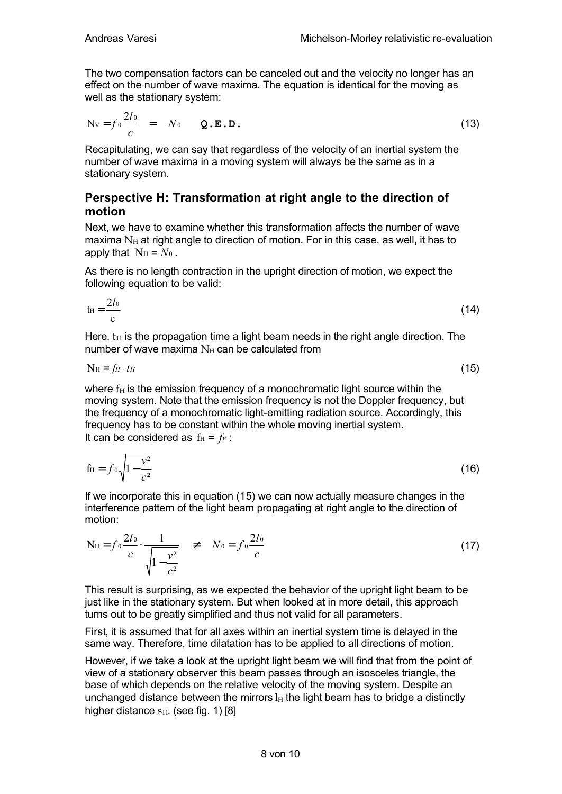The two compensation factors can be canceled out and the velocity no longer has an effect on the number of wave maxima. The equation is identical for the moving as well as the stationary system:

$$
Nv = f_0 \frac{2l_0}{c} = N_0 \qquad Q.E.D.
$$
 (13)

Recapitulating, we can say that regardless of the velocity of an inertial system the number of wave maxima in a moving system will always be the same as in a stationary system.

#### **Perspective H: Transformation at right angle to the direction of motion**

Next, we have to examine whether this transformation affects the number of wave maxima  $N_H$  at right angle to direction of motion. For in this case, as well, it has to apply that  $N_H = N_0$ .

As there is no length contraction in the upright direction of motion, we expect the following equation to be valid:

$$
t_{\rm H} = \frac{2l_0}{c} \tag{14}
$$

Here,  $t_H$  is the propagation time a light beam needs in the right angle direction. The number of wave maxima  $N_H$  can be calculated from

$$
N_{\rm H} = f_H \cdot t_H \tag{15}
$$

where  $f_H$  is the emission frequency of a monochromatic light source within the moving system. Note that the emission frequency is not the Doppler frequency, but the frequency of a monochromatic light-emitting radiation source. Accordingly, this frequency has to be constant within the whole moving inertial system. It can be considered as  $f_H = f_V$ :

$$
f_{\rm H} = f_0 \sqrt{1 - \frac{v^2}{c^2}} \tag{16}
$$

If we incorporate this in equation (15) we can now actually measure changes in the interference pattern of the light beam propagating at right angle to the direction of motion:

$$
N_{\rm H} = f_0 \frac{2I_0}{c} \cdot \frac{1}{\sqrt{1 - \frac{v^2}{c^2}}} \quad \neq \quad N_0 = f_0 \frac{2I_0}{c} \tag{17}
$$

This result is surprising, as we expected the behavior of the upright light beam to be just like in the stationary system. But when looked at in more detail, this approach turns out to be greatly simplified and thus not valid for all parameters.

First, it is assumed that for all axes within an inertial system time is delayed in the same way. Therefore, time dilatation has to be applied to all directions of motion.

However, if we take a look at the upright light beam we will find that from the point of view of a stationary observer this beam passes through an isosceles triangle, the base of which depends on the relative velocity of the moving system. Despite an unchanged distance between the mirrors  $I_H$  the light beam has to bridge a distinctly higher distance  $_{\text{SH}}$ . (see fig. 1) [8]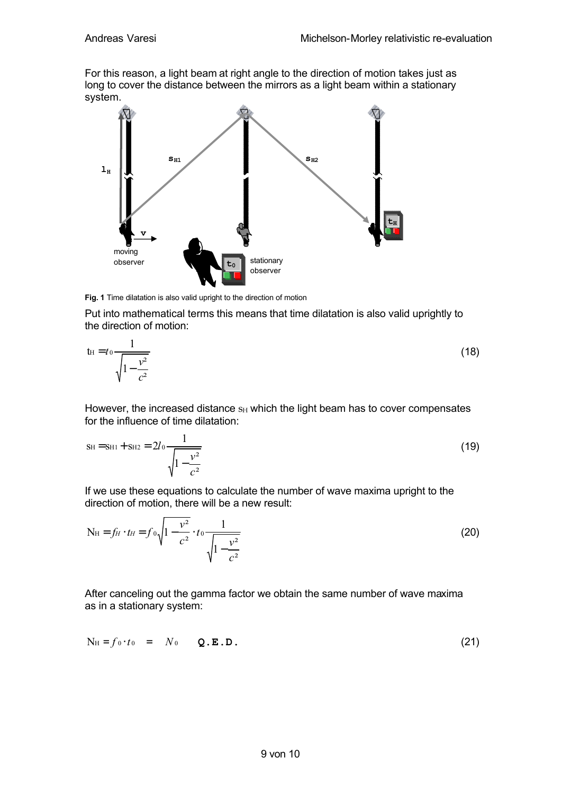For this reason, a light beam at right angle to the direction of motion takes just as long to cover the distance between the mirrors as a light beam within a stationary system.



**Fig. 1** Time dilatation is also valid upright to the direction of motion

Put into mathematical terms this means that time dilatation is also valid uprightly to the direction of motion:

$$
t_{\rm H} = t_0 \frac{1}{\sqrt{1 - \frac{v^2}{c^2}}}
$$
 (18)

However, the increased distance  $s$ <sub>H</sub> which the light beam has to cover compensates for the influence of time dilatation:

$$
Sh = SH1 + SH2 = 2l_0 \frac{1}{\sqrt{1 - \frac{v^2}{c^2}}}
$$
 (19)

If we use these equations to calculate the number of wave maxima upright to the direction of motion, there will be a new result:

$$
N_{\rm H} = f_H \cdot t_H = f_0 \sqrt{1 - \frac{v^2}{c^2}} \cdot t_0 \frac{1}{\sqrt{1 - \frac{v^2}{c^2}}}
$$
(20)

After canceling out the gamma factor we obtain the same number of wave maxima as in a stationary system:

$$
N_{\mathrm{H}} = f_0 \cdot t_0 = N_0 \qquad Q.E.D. \qquad (21)
$$